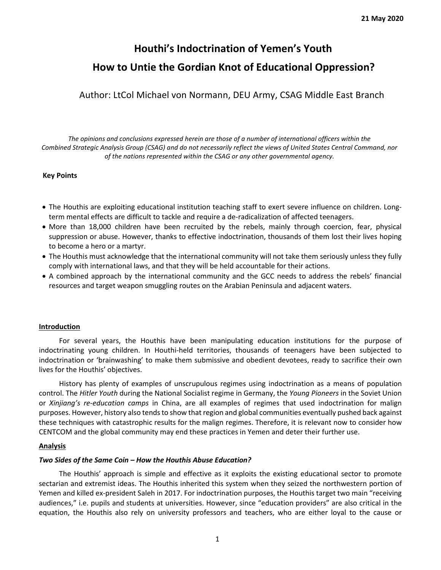# **Houthi's Indoctrination of Yemen's Youth How to Untie the Gordian Knot of Educational Oppression?**

Author: LtCol Michael von Normann, DEU Army, CSAG Middle East Branch

*The opinions and conclusions expressed herein are those of a number of international officers within the Combined Strategic Analysis Group (CSAG) and do not necessarily reflect the views of United States Central Command, nor of the nations represented within the CSAG or any other governmental agency.*

#### **Key Points**

- The Houthis are exploiting educational institution teaching staff to exert severe influence on children. Longterm mental effects are difficult to tackle and require a de-radicalization of affected teenagers.
- More than 18,000 children have been recruited by the rebels, mainly through coercion, fear, physical suppression or abuse. However, thanks to effective indoctrination, thousands of them lost their lives hoping to become a hero or a martyr.
- The Houthis must acknowledge that the international community will not take them seriously unless they fully comply with international laws, and that they will be held accountable for their actions.
- A combined approach by the international community and the GCC needs to address the rebels' financial resources and target weapon smuggling routes on the Arabian Peninsula and adjacent waters.

#### **Introduction**

For several years, the Houthis have been manipulating education institutions for the purpose of indoctrinating young children. In Houthi-held territories, thousands of teenagers have been subjected to indoctrination or 'brainwashing' to make them submissive and obedient devotees, ready to sacrifice their own lives for the Houthis' objectives.

History has plenty of examples of unscrupulous regimes using indoctrination as a means of population control. The *Hitler Youth* during the National Socialist regime in Germany, the *Young Pioneers* in the Soviet Union or *Xinjiang's re-education camps* in China, are all examples of regimes that used indoctrination for malign purposes. However, history also tends to show that region and global communities eventually pushed back against these techniques with catastrophic results for the malign regimes. Therefore, it is relevant now to consider how CENTCOM and the global community may end these practices in Yemen and deter their further use.

#### **Analysis**

#### *Two Sides of the Same Coin – How the Houthis Abuse Education?*

The Houthis' approach is simple and effective as it exploits the existing educational sector to promote sectarian and extremist ideas. The Houthis inherited this system when they seized the northwestern portion of Yemen and killed ex-president Saleh in 2017. For indoctrination purposes, the Houthis target two main "receiving audiences," i.e. pupils and students at universities. However, since "education providers" are also critical in the equation, the Houthis also rely on university professors and teachers, who are either loyal to the cause or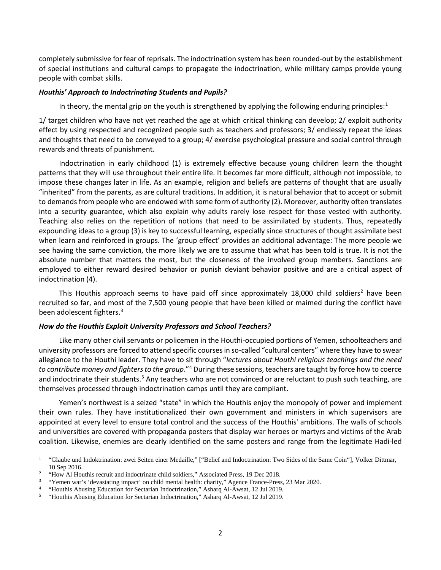completely submissive for fear of reprisals. The indoctrination system has been rounded-out by the establishment of special institutions and cultural camps to propagate the indoctrination, while military camps provide young people with combat skills.

#### *Houthis' Approach to Indoctrinating Students and Pupils?*

In theory, the mental grip on the youth is strengthened by applying the following enduring principles: [1](#page-1-0)

1/ target children who have not yet reached the age at which critical thinking can develop; 2/ exploit authority effect by using respected and recognized people such as teachers and professors; 3/ endlessly repeat the ideas and thoughts that need to be conveyed to a group; 4/ exercise psychological pressure and social control through rewards and threats of punishment.

Indoctrination in early childhood (1) is extremely effective because young children learn the thought patterns that they will use throughout their entire life. It becomes far more difficult, although not impossible, to impose these changes later in life. As an example, religion and beliefs are patterns of thought that are usually "inherited" from the parents, as are cultural traditions. In addition, it is natural behavior that to accept or submit to demands from people who are endowed with some form of authority (2). Moreover, authority often translates into a security guarantee, which also explain why adults rarely lose respect for those vested with authority. Teaching also relies on the repetition of notions that need to be assimilated by students. Thus, repeatedly expounding ideas to a group (3) is key to successful learning, especially since structures of thought assimilate best when learn and reinforced in groups. The 'group effect' provides an additional advantage: The more people we see having the same conviction, the more likely we are to assume that what has been told is true. It is not the absolute number that matters the most, but the closeness of the involved group members. Sanctions are employed to either reward desired behavior or punish deviant behavior positive and are a critical aspect of indoctrination (4).

This Houthis approach seems to have paid off since approximately 18,000 child soldiers<sup>[2](#page-1-1)</sup> have been recruited so far, and most of the 7,500 young people that have been killed or maimed during the conflict have been adolescent fighters.<sup>[3](#page-1-2)</sup>

#### *How do the Houthis Exploit University Professors and School Teachers?*

Like many other civil servants or policemen in the Houthi-occupied portions of Yemen, schoolteachers and university professors are forced to attend specific courses in so-called "cultural centers" where they have to swear allegiance to the Houthi leader. They have to sit through "*lectures about Houthi religious teachings and the need to contribute money and fighters to the group*."[4](#page-1-3) During these sessions, teachers are taught by force how to coerce and indoctrinate their students.<sup>[5](#page-1-4)</sup> Any teachers who are not convinced or are reluctant to push such teaching, are themselves processed through indoctrination camps until they are compliant.

Yemen's northwest is a seized "state" in which the Houthis enjoy the monopoly of power and implement their own rules. They have institutionalized their own government and ministers in which supervisors are appointed at every level to ensure total control and the success of the Houthis' ambitions. The walls of schools and universities are covered with propaganda posters that display war heroes or martyrs and victims of the Arab coalition. Likewise, enemies are clearly identified on the same posters and range from the legitimate Hadi-led

<span id="page-1-0"></span><sup>&</sup>lt;sup>1</sup> "Glaube und Indoktrination: zwei Seiten einer Medaille," ["Belief and Indoctrination: Two Sides of the Same Coin"], Volker Dittmar, 10 Sep 2016.

<span id="page-1-1"></span><sup>&</sup>lt;sup>2</sup> "How Al Houthis recruit and indoctrinate child soldiers," Associated Press, 19 Dec 2018.

<span id="page-1-2"></span><sup>3</sup> "Yemen war's 'devastating impact' on child mental health: charity," Agence France-Press, 23 Mar 2020.

<span id="page-1-3"></span><sup>4</sup> "Houthis Abusing Education for Sectarian Indoctrination," Asharq Al-Awsat, 12 Jul 2019.

<span id="page-1-4"></span><sup>5</sup> "Houthis Abusing Education for Sectarian Indoctrination," Asharq Al-Awsat, 12 Jul 2019.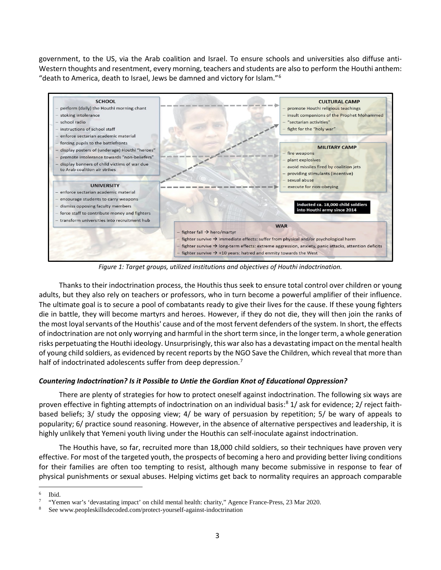government, to the US, via the Arab coalition and Israel. To ensure schools and universities also diffuse anti-Western thoughts and resentment, every morning, teachers and students are also to perform the Houthi anthem: "death to America, death to Israel, Jews be damned and victory for Islam."[6](#page-2-0)



*Figure 1: Target groups, utilized institutions and objectives of Houthi indoctrination.*

Thanks to their indoctrination process, the Houthis thus seek to ensure total control over children or young adults, but they also rely on teachers or professors, who in turn become a powerful amplifier of their influence. The ultimate goal is to secure a pool of combatants ready to give their lives for the cause. If these young fighters die in battle, they will become martyrs and heroes. However, if they do not die, they will then join the ranks of the most loyal servants of the Houthis' cause and of the most fervent defenders of the system. In short, the effects of indoctrination are not only worrying and harmful in the short term since, in the longer term, a whole generation risks perpetuating the Houthi ideology. Unsurprisingly, this war also has a devastating impact on the mental health of young child soldiers, as evidenced by recent reports by the NGO Save the Children, which reveal that more than half of indoctrinated adolescents suffer from deep depression.<sup>[7](#page-2-1)</sup>

## *Countering Indoctrination? Is it Possible to Untie the Gordian Knot of Educational Oppression?*

There are plenty of strategies for how to protect oneself against indoctrination. The following six ways are proven effective in fighting attempts of indoctrination on an individual basis: [8](#page-2-2) 1/ ask for evidence; 2/ reject faithbased beliefs; 3/ study the opposing view; 4/ be wary of persuasion by repetition; 5/ be wary of appeals to popularity; 6/ practice sound reasoning. However, in the absence of alternative perspectives and leadership, it is highly unlikely that Yemeni youth living under the Houthis can self-inoculate against indoctrination.

The Houthis have, so far, recruited more than 18,000 child soldiers, so their techniques have proven very effective. For most of the targeted youth, the prospects of becoming a hero and providing better living conditions for their families are often too tempting to resist, although many become submissive in response to fear of physical punishments or sexual abuses. Helping victims get back to normality requires an approach comparable

<span id="page-2-0"></span><sup>6</sup> Ibid.

<sup>7 &</sup>quot;Yemen war's 'devastating impact' on child mental health: charity," Agence France-Press, 23 Mar 2020.

<span id="page-2-2"></span><span id="page-2-1"></span>See www.peopleskillsdecoded.com/protect-yourself-against-indoctrination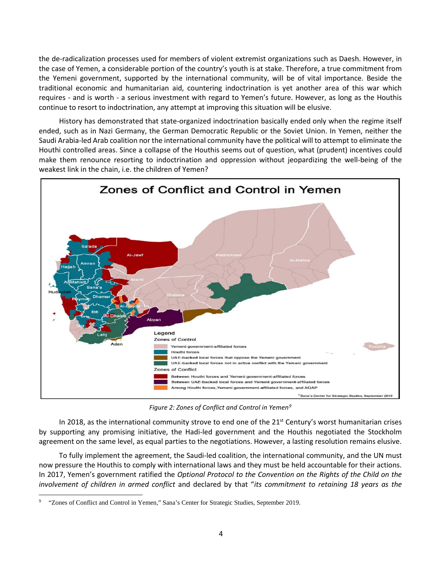the de-radicalization processes used for members of violent extremist organizations such as Daesh. However, in the case of Yemen, a considerable portion of the country's youth is at stake. Therefore, a true commitment from the Yemeni government, supported by the international community, will be of vital importance. Beside the traditional economic and humanitarian aid, countering indoctrination is yet another area of this war which requires - and is worth - a serious investment with regard to Yemen's future. However, as long as the Houthis continue to resort to indoctrination, any attempt at improving this situation will be elusive.

History has demonstrated that state-organized indoctrination basically ended only when the regime itself ended, such as in Nazi Germany, the German Democratic Republic or the Soviet Union. In Yemen, neither the Saudi Arabia-led Arab coalition nor the international community have the political will to attempt to eliminate the Houthi controlled areas. Since a collapse of the Houthis seems out of question, what (prudent) incentives could make them renounce resorting to indoctrination and oppression without jeopardizing the well-being of the weakest link in the chain, i.e. the children of Yemen?



*Figure 2: Zones of Conflict and Control in Yemen[9](#page-3-0)*

In 2018, as the international community strove to end one of the 21<sup>st</sup> Century's worst humanitarian crises by supporting any promising initiative, the Hadi-led government and the Houthis negotiated the Stockholm agreement on the same level, as equal parties to the negotiations. However, a lasting resolution remains elusive.

To fully implement the agreement, the Saudi-led coalition, the international community, and the UN must now pressure the Houthis to comply with international laws and they must be held accountable for their actions. In 2017, Yemen's government ratified the *Optional Protocol to the Convention on the Rights of the Child on the involvement of children in armed conflict* and declared by that "*its commitment to retaining 18 years as the* 

<span id="page-3-0"></span><sup>9 &</sup>quot;Zones of Conflict and Control in Yemen," Sana's Center for Strategic Studies, September 2019.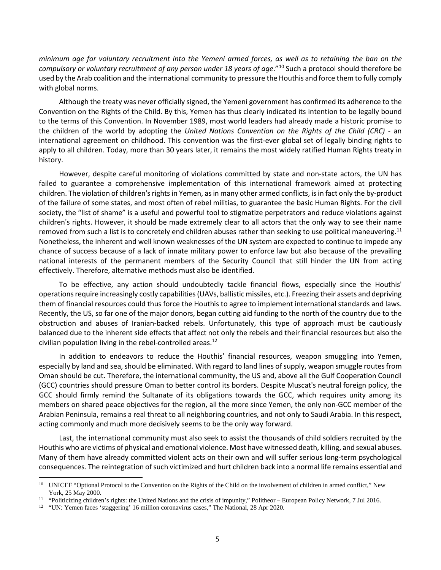*minimum age for voluntary recruitment into the Yemeni armed forces, as well as to retaining the ban on the compulsory or voluntary recruitment of any person under 18 years of age*.["10](#page-4-0) Such a protocol should therefore be used by the Arab coalition and the international community to pressure the Houthis and force them to fully comply with global norms.

Although the treaty was never officially signed, the Yemeni government has confirmed its adherence to the Convention on the Rights of the Child. By this, Yemen has thus clearly indicated its intention to be legally bound to the terms of this Convention. In November 1989, most world leaders had already made a historic promise to the children of the world by adopting the *United Nations Convention on the Rights of the Child (CRC)* - an international agreement on childhood. This convention was the first-ever global set of legally binding rights to apply to all children. Today, more than 30 years later, it remains the most widely ratified Human Rights treaty in history.

However, despite careful monitoring of violations committed by state and non-state actors, the UN has failed to guarantee a comprehensive implementation of this international framework aimed at protecting children. The violation of children's rights in Yemen, as in many other armed conflicts, is in fact only the by-product of the failure of some states, and most often of rebel militias, to guarantee the basic Human Rights. For the civil society, the "list of shame" is a useful and powerful tool to stigmatize perpetrators and reduce violations against children's rights. However, it should be made extremely clear to all actors that the only way to see their name removed from such a list is to concretely end children abuses rather than seeking to use political maneuvering.<sup>[11](#page-4-1)</sup> Nonetheless, the inherent and well known weaknesses of the UN system are expected to continue to impede any chance of success because of a lack of innate military power to enforce law but also because of the prevailing national interests of the permanent members of the Security Council that still hinder the UN from acting effectively. Therefore, alternative methods must also be identified.

To be effective, any action should undoubtedly tackle financial flows, especially since the Houthis' operations require increasingly costly capabilities (UAVs, ballistic missiles, etc.). Freezing their assets and depriving them of financial resources could thus force the Houthis to agree to implement international standards and laws. Recently, the US, so far one of the major donors, began cutting aid funding to the north of the country due to the obstruction and abuses of Iranian-backed rebels. Unfortunately, this type of approach must be cautiously balanced due to the inherent side effects that affect not only the rebels and their financial resources but also the civilian population living in the rebel-controlled areas. [12](#page-4-2)

In addition to endeavors to reduce the Houthis' financial resources, weapon smuggling into Yemen, especially by land and sea, should be eliminated. With regard to land lines of supply, weapon smuggle routes from Oman should be cut. Therefore, the international community, the US and, above all the Gulf Cooperation Council (GCC) countries should pressure Oman to better control its borders. Despite Muscat's neutral foreign policy, the GCC should firmly remind the Sultanate of its obligations towards the GCC, which requires unity among its members on shared peace objectives for the region, all the more since Yemen, the only non-GCC member of the Arabian Peninsula, remains a real threat to all neighboring countries, and not only to Saudi Arabia. In this respect, acting commonly and much more decisively seems to be the only way forward.

Last, the international community must also seek to assist the thousands of child soldiers recruited by the Houthis who are victims of physical and emotional violence. Most have witnessed death, killing, and sexual abuses. Many of them have already committed violent acts on their own and will suffer serious long-term psychological consequences. The reintegration of such victimized and hurt children back into a normal life remains essential and

<span id="page-4-0"></span><sup>&</sup>lt;sup>10</sup> UNICEF "Optional Protocol to the Convention on the Rights of the Child on the involvement of children in armed conflict," New York, 25 May 2000.

<span id="page-4-1"></span><sup>11 &</sup>quot;Politicizing children's rights: the United Nations and the crisis of impunity," Politheor – European Policy Network, 7 Jul 2016.

<span id="page-4-2"></span><sup>12 &</sup>quot;UN: Yemen faces 'staggering' 16 million coronavirus cases," The National, 28 Apr 2020.